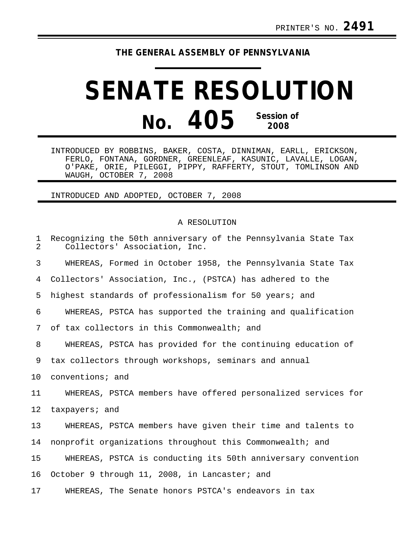## **THE GENERAL ASSEMBLY OF PENNSYLVANIA**

## **SENATE RESOLUTION No. 405 Session of 2008**

INTRODUCED BY ROBBINS, BAKER, COSTA, DINNIMAN, EARLL, ERICKSON, FERLO, FONTANA, GORDNER, GREENLEAF, KASUNIC, LAVALLE, LOGAN, O'PAKE, ORIE, PILEGGI, PIPPY, RAFFERTY, STOUT, TOMLINSON AND WAUGH, OCTOBER 7, 2008

INTRODUCED AND ADOPTED, OCTOBER 7, 2008

## A RESOLUTION

| 1<br>2 | Recognizing the 50th anniversary of the Pennsylvania State Tax<br>Collectors' Association, Inc. |
|--------|-------------------------------------------------------------------------------------------------|
| 3      | WHEREAS, Formed in October 1958, the Pennsylvania State Tax                                     |
| 4      | Collectors' Association, Inc., (PSTCA) has adhered to the                                       |
| 5      | highest standards of professionalism for 50 years; and                                          |
| 6      | WHEREAS, PSTCA has supported the training and qualification                                     |
| 7      | of tax collectors in this Commonwealth; and                                                     |
| 8      | WHEREAS, PSTCA has provided for the continuing education of                                     |
| 9      | tax collectors through workshops, seminars and annual                                           |
| 10     | conventions; and                                                                                |
| 11     | WHEREAS, PSTCA members have offered personalized services for                                   |
| 12     | taxpayers; and                                                                                  |
| 13     | WHEREAS, PSTCA members have given their time and talents to                                     |
| 14     | nonprofit organizations throughout this Commonwealth; and                                       |
| 15     | WHEREAS, PSTCA is conducting its 50th anniversary convention                                    |
| 16     | October 9 through 11, 2008, in Lancaster; and                                                   |
| 17     | WHEREAS, The Senate honors PSTCA's endeavors in tax                                             |